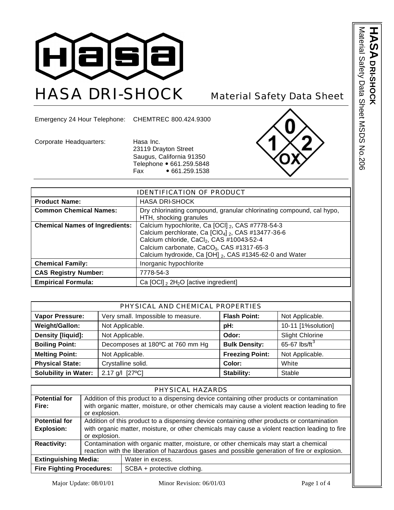

Emergency 24 Hour Telephone: CHEMTREC 800.424.9300

Corporate Headquarters: Hasa Inc. 23119 Drayton Street Saugus, California 91350 Telephone • 661.259.5848<br>Fax • 661.259.1538  $• 661.259.1538$ 



| <b>IDENTIFICATION OF PRODUCT</b>      |                                                                                                                                                                                                                                                                                                         |  |
|---------------------------------------|---------------------------------------------------------------------------------------------------------------------------------------------------------------------------------------------------------------------------------------------------------------------------------------------------------|--|
| <b>Product Name:</b>                  | <b>HASA DRI-SHOCK</b>                                                                                                                                                                                                                                                                                   |  |
| <b>Common Chemical Names:</b>         | Dry chlorinating compound, granular chlorinating compound, cal hypo,<br>HTH, shocking granules                                                                                                                                                                                                          |  |
| <b>Chemical Names of Ingredients:</b> | Calcium hypochlorite, Ca [OCI] 2, CAS #7778-54-3<br>Calcium perchlorate, Ca $\left[\text{ClO}_4\right]_2$ , CAS #13477-36-6<br>Calcium chloride, CaCl <sub>2</sub> , CAS #10043-52-4<br>Calcium carbonate, CaCO <sub>3</sub> , CAS #1317-65-3<br>Calcium hydroxide, Ca [OH] 2, CAS #1345-62-0 and Water |  |
| <b>Chemical Family:</b>               | Inorganic hypochlorite                                                                                                                                                                                                                                                                                  |  |
| <b>CAS Registry Number:</b>           | 7778-54-3                                                                                                                                                                                                                                                                                               |  |
| <b>Empirical Formula:</b>             | Ca $[OCI]$ , $2H_2O$ $[active$ ingredient                                                                                                                                                                                                                                                               |  |

| PHYSICAL AND CHEMICAL PROPERTIES |                                    |                        |                         |
|----------------------------------|------------------------------------|------------------------|-------------------------|
| <b>Vapor Pressure:</b>           | Very small. Impossible to measure. | <b>Flash Point:</b>    | Not Applicable.         |
| Weight/Gallon:                   | Not Applicable.                    | pH:                    | 10-11 [1%solution]      |
| Density [liquid]:                | Not Applicable.                    | Odor:                  | <b>Slight Chlorine</b>  |
| <b>Boiling Point:</b>            | Decomposes at 180°C at 760 mm Hg   | <b>Bulk Density:</b>   | 65-67 $\text{lbs/ft}^3$ |
| <b>Melting Point:</b>            | Not Applicable.                    | <b>Freezing Point:</b> | Not Applicable.         |
| <b>Physical State:</b>           | Crystalline solid.                 | Color:                 | White                   |
| <b>Solubility in Water:</b>      | 2.17 g/l [27°C]                    | <b>Stability:</b>      | Stable                  |

| PHYSICAL HAZARDS                                                |                                                                                                |                                                                                                                                                                                              |  |
|-----------------------------------------------------------------|------------------------------------------------------------------------------------------------|----------------------------------------------------------------------------------------------------------------------------------------------------------------------------------------------|--|
| <b>Potential for</b><br>Fire:                                   | or explosion.                                                                                  | Addition of this product to a dispensing device containing other products or contamination<br>with organic matter, moisture, or other chemicals may cause a violent reaction leading to fire |  |
| <b>Potential for</b>                                            |                                                                                                | Addition of this product to a dispensing device containing other products or contamination                                                                                                   |  |
| <b>Explosion:</b>                                               | with organic matter, moisture, or other chemicals may cause a violent reaction leading to fire |                                                                                                                                                                                              |  |
|                                                                 | or explosion.                                                                                  |                                                                                                                                                                                              |  |
| <b>Reactivity:</b>                                              | Contamination with organic matter, moisture, or other chemicals may start a chemical           |                                                                                                                                                                                              |  |
|                                                                 | reaction with the liberation of hazardous gases and possible generation of fire or explosion.  |                                                                                                                                                                                              |  |
| <b>Extinguishing Media:</b><br>Water in excess.                 |                                                                                                |                                                                                                                                                                                              |  |
| <b>Fire Fighting Procedures:</b><br>SCBA + protective clothing. |                                                                                                |                                                                                                                                                                                              |  |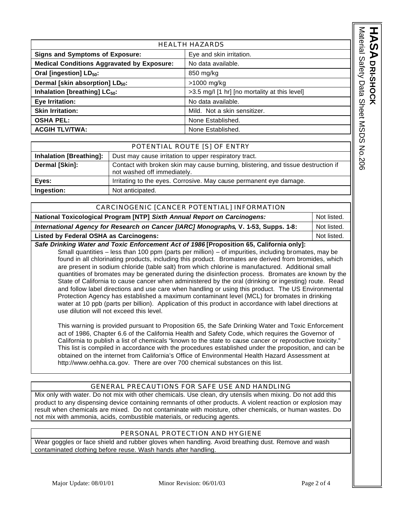|                                                                    |                                                                                   |                                               | Material     |
|--------------------------------------------------------------------|-----------------------------------------------------------------------------------|-----------------------------------------------|--------------|
| <b>HEALTH HAZARDS</b>                                              |                                                                                   |                                               |              |
| <b>Signs and Symptoms of Exposure:</b><br>Eye and skin irritation. |                                                                                   |                                               |              |
| <b>Medical Conditions Aggravated by Exposure:</b>                  |                                                                                   | No data available.                            |              |
| Oral [ingestion] LD <sub>50</sub> :                                |                                                                                   | 850 mg/kg                                     | Safety       |
| Dermal [skin absorption] LD <sub>50</sub> :                        |                                                                                   | $>1000$ mg/kg                                 |              |
| Inhalation [breathing] LC <sub>50</sub> :                          |                                                                                   | >3.5 mg/l [1 hr] [no mortality at this level] | Data         |
| Eye Irritation:                                                    |                                                                                   | No data available.                            |              |
| <b>Skin Irritation:</b>                                            |                                                                                   | Mild. Not a skin sensitizer.                  | <b>Sheet</b> |
| OSHA PEL:                                                          |                                                                                   | None Established.                             |              |
| <b>ACGIH TLV/TWA:</b>                                              |                                                                                   | None Established.                             | <b>NSDS</b>  |
|                                                                    |                                                                                   |                                               |              |
| POTENTIAL ROUTE [S] OF ENTRY                                       |                                                                                   |                                               |              |
| <b>Inhalation [Breathing]:</b>                                     | Dust may cause irritation to upper respiratory tract.                             |                                               |              |
| Dermal [Skin]:                                                     | Contact with broken skin may cause burning, blistering, and tissue destruction if |                                               | No.206       |

| POTENTIAL ROUTE [S] OF ENTRY   |                                                                                                                  |  |
|--------------------------------|------------------------------------------------------------------------------------------------------------------|--|
| <b>Inhalation [Breathing]:</b> | Dust may cause irritation to upper respiratory tract.                                                            |  |
| Dermal [Skin]:                 | Contact with broken skin may cause burning, blistering, and tissue destruction if<br>not washed off immediately. |  |
| Eyes:                          | Irritating to the eyes. Corrosive. May cause permanent eye damage.                                               |  |
| Ingestion:                     | Not anticipated.                                                                                                 |  |

| CARCINOGENIC [CANCER POTENTIAL] INFORMATION                                         |             |  |
|-------------------------------------------------------------------------------------|-------------|--|
| National Toxicological Program [NTP] Sixth Annual Report on Carcinogens:            |             |  |
| International Agency for Research on Cancer [IARC] Monographs, V. 1-53, Supps. 1-8: |             |  |
| <b>Listed by Federal OSHA as Carcinogens:</b>                                       | Not listed. |  |
|                                                                                     |             |  |

*Safe Drinking Water and Toxic Enforcement Act of 1986* **[Proposition 65, California only]:** Small quantities – less than 100 ppm (parts per million) – of impurities, including bromates, may be found in all chlorinating products, including this product. Bromates are derived from bromides, which are present in sodium chloride (table salt) from which chlorine is manufactured. Additional small quantities of bromates may be generated during the disinfection process. Bromates are known by the State of California to cause cancer when administered by the oral (drinking or ingesting) route. Read and follow label directions and use care when handling or using this product. The US Environmental Protection Agency has established a maximum contaminant level (MCL) for bromates in drinking water at 10 ppb (parts per billion). Application of this product in accordance with label directions at use dilution will not exceed this level.

This warning is provided pursuant to Proposition 65, the Safe Drinking Water and Toxic Enforcement act of 1986, Chapter 6.6 of the California Health and Safety Code, which requires the Governor of California to publish a list of chemicals "known to the state to cause cancer or reproductive toxicity." This list is compiled in accordance with the procedures established under the proposition, and can be obtained on the internet from California's Office of Environmental Health Hazard Assessment at http://www.oehha.ca.gov. There are over 700 chemical substances on this list.

## GENERAL PRECAUTIONS FOR SAFE USE AND HANDLING

Mix only with water. Do not mix with other chemicals. Use clean, dry utensils when mixing. Do not add this product to any dispensing device containing remnants of other products. A violent reaction or explosion may result when chemicals are mixed. Do not contaminate with moisture, other chemicals, or human wastes. Do not mix with ammonia, acids, combustible materials, or reducing agents.

## PERSONAL PROTECTION AND HYGIENE

Wear goggles or face shield and rubber gloves when handling. Avoid breathing dust. Remove and wash contaminated clothing before reuse. Wash hands after handling.

**HASA**

**DRI-SHOCK**

DRI-SHOCK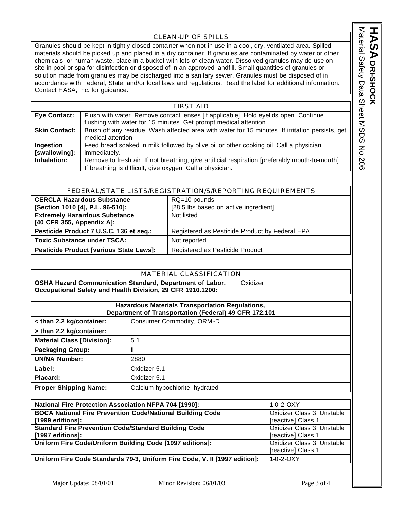## CLEAN-UP OF SPILLS

Granules should be kept in tightly closed container when not in use in a cool, dry, ventilated area. Spilled materials should be picked up and placed in a dry container. If granules are contaminated by water or other chemicals, or human waste, place in a bucket with lots of clean water. Dissolved granules may de use on site in pool or spa for disinfection or disposed of in an approved landfill. Small quantities of granules or solution made from granules may be discharged into a sanitary sewer. Granules must be disposed of in accordance with Federal, State, and/or local laws and regulations. Read the label for additional information. Contact HASA, Inc. for guidance.

| <b>FIRST AID</b>     |                                                                                                  |  |
|----------------------|--------------------------------------------------------------------------------------------------|--|
| <b>Eye Contact:</b>  | Flush with water. Remove contact lenses [if applicable]. Hold eyelids open. Continue             |  |
|                      | flushing with water for 15 minutes. Get prompt medical attention.                                |  |
| <b>Skin Contact:</b> | Brush off any residue. Wash affected area with water for 15 minutes. If irritation persists, get |  |
|                      | medical attention.                                                                               |  |
| Ingestion            | Feed bread soaked in milk followed by olive oil or other cooking oil. Call a physician           |  |
| [swallowing]:        | immediately.                                                                                     |  |
| Inhalation:          | Remove to fresh air. If not breathing, give artificial respiration [preferably mouth-to-mouth].  |  |
|                      | If breathing is difficult, give oxygen. Call a physician.                                        |  |

| FEDERAL/STATE LISTS/REGISTRATION/S/REPORTING REQUIREMENTS |                                                 |  |
|-----------------------------------------------------------|-------------------------------------------------|--|
| <b>CERCLA Hazardous Substance</b>                         | $RQ=10$ pounds                                  |  |
| [Section 1010 [4], P.L. 96-510]:                          | [28.5 lbs based on active ingredient]           |  |
| <b>Extremely Hazardous Substance</b>                      | Not listed.                                     |  |
| [40 CFR 355, Appendix A]:                                 |                                                 |  |
| Pesticide Product 7 U.S.C. 136 et seq.:                   | Registered as Pesticide Product by Federal EPA. |  |
| <b>Toxic Substance under TSCA:</b>                        | Not reported.                                   |  |
| <b>Pesticide Product [various State Laws]:</b>            | Registered as Pesticide Product                 |  |

| MATERIAL CLASSIFICATION                                                                                                |          |
|------------------------------------------------------------------------------------------------------------------------|----------|
| OSHA Hazard Communication Standard, Department of Labor,<br>Occupational Safety and Health Division, 29 CFR 1910.1200: | Oxidizer |

| <b>Hazardous Materials Transportation Regulations,</b><br>Department of Transportation (Federal) 49 CFR 172.101 |                                |  |
|-----------------------------------------------------------------------------------------------------------------|--------------------------------|--|
| < than 2.2 kg/container:                                                                                        | Consumer Commodity, ORM-D      |  |
| > than 2.2 kg/container:                                                                                        |                                |  |
| <b>Material Class [Division]:</b>                                                                               | 5.1                            |  |
| <b>Packaging Group:</b>                                                                                         |                                |  |
| <b>UN/NA Number:</b>                                                                                            | 2880                           |  |
| Label:                                                                                                          | Oxidizer 5.1                   |  |
| Placard:                                                                                                        | Oxidizer 5.1                   |  |
| <b>Proper Shipping Name:</b>                                                                                    | Calcium hypochlorite, hydrated |  |

| <b>National Fire Protection Association NFPA 704 [1990]:</b>                         | $1 - 0 - 2 - 0XY$                                |
|--------------------------------------------------------------------------------------|--------------------------------------------------|
| <b>BOCA National Fire Prevention Code/National Building Code</b><br>[1999 editions]: | Oxidizer Class 3, Unstable<br>[reactive] Class 1 |
| <b>Standard Fire Prevention Code/Standard Building Code</b><br>[1997 editions]:      | Oxidizer Class 3, Unstable<br>[reactive] Class 1 |
| Uniform Fire Code/Uniform Building Code [1997 editions]:                             | Oxidizer Class 3, Unstable<br>[reactive] Class 1 |
| Uniform Fire Code Standards 79-3, Uniform Fire Code, V. II [1997 edition]:           | $1 - 0 - 2 - 0$ $XY$                             |